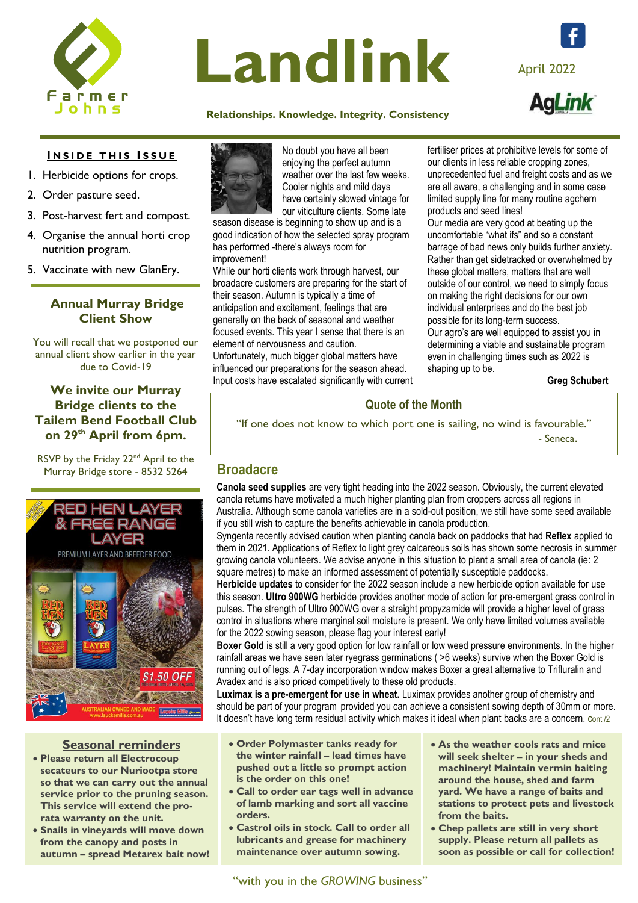

# Landlink April 2022

### **[Relati](https://www.facebook.com/farmerjohnssa)onships. Knowledge. Integrity. Consistency**

## **INSIDE THIS ISSUE**

- 1. Herbicide options for crops.
- 2. Order pasture seed.
- 3. Post-harvest fert and compost.
- 4. Organise the annual horti crop nutrition program.
- 5. Vaccinate with new GlanEry.

### **Annual Murray Bridge Client Show**

You will recall that we postponed our annual client show earlier in the year due to Covid-19

### **We invite our Murray Bridge clients to the Tailem Bend Football Club on 29th April from 6pm.**

RSVP by the Friday 22<sup>nd</sup> April to the Murray Bridge store - 8532 5264 **Broadacre**



### **Seasonal reminders**

- **Please return all Electrocoup secateurs to our Nuriootpa store so that we can carry out the annual service prior to the pruning season. This service will extend the prorata warranty on the unit.**
- **Snails in vineyards will move down from the canopy and posts in autumn – spread Metarex bait now!**



No doubt you have all been enjoying the perfect autumn weather over the last few weeks. Cooler nights and mild days have certainly slowed vintage for our viticulture clients. Some late

season disease is beginning to show up and is a good indication of how the selected spray program has performed -there's always room for improvement!

While our horti clients work through harvest, our broadacre customers are preparing for the start of their season. Autumn is typically a time of anticipation and excitement, feelings that are generally on the back of seasonal and weather focused events. This year I sense that there is an element of nervousness and caution.

Unfortunately, much bigger global matters have influenced our preparations for the season ahead. Input costs have escalated significantly with current fertiliser prices at prohibitive levels for some of our clients in less reliable cropping zones, unprecedented fuel and freight costs and as we are all aware, a challenging and in some case limited supply line for many routine agchem products and seed lines!

Our media are very good at beating up the uncomfortable "what ifs" and so a constant barrage of bad news only builds further anxiety. Rather than get sidetracked or overwhelmed by these global matters, matters that are well outside of our control, we need to simply focus on making the right decisions for our own individual enterprises and do the best job possible for its long-term success. Our agro's are well equipped to assist you in determining a viable and sustainable program even in challenging times such as 2022 is shaping up to be.

**Greg Schubert** 

### **Quote of the Month**

"If one does not know to which port one is sailing, no wind is favourable."

- Seneca.

**Canola seed supplies** are very tight heading into the 2022 season. Obviously, the current elevated canola returns have motivated a much higher planting plan from croppers across all regions in Australia. Although some canola varieties are in a sold-out position, we still have some seed available if you still wish to capture the benefits achievable in canola production.

Syngenta recently advised caution when planting canola back on paddocks that had **Reflex** applied to them in 2021. Applications of Reflex to light grey calcareous soils has shown some necrosis in summer growing canola volunteers. We advise anyone in this situation to plant a small area of canola (ie: 2 square metres) to make an informed assessment of potentially susceptible paddocks.

**Herbicide updates** to consider for the 2022 season include a new herbicide option available for use this season. **Ultro 900WG** herbicide provides another mode of action for pre-emergent grass control in pulses. The strength of Ultro 900WG over a straight propyzamide will provide a higher level of grass control in situations where marginal soil moisture is present. We only have limited volumes available for the 2022 sowing season, please flag your interest early!

**Boxer Gold** is still a very good option for low rainfall or low weed pressure environments. In the higher rainfall areas we have seen later ryegrass germinations ( >6 weeks) survive when the Boxer Gold is running out of legs. A 7-day incorporation window makes Boxer a great alternative to Trifluralin and Avadex and is also priced competitively to these old products.

**Luximax is a pre-emergent for use in wheat.** Luximax provides another group of chemistry and should be part of your program provided you can achieve a consistent sowing depth of 30mm or more. It doesn't have long term residual activity which makes it ideal when plant backs are a concern. Cont /2

- **Order Polymaster tanks ready for the winter rainfall – lead times have pushed out a little so prompt action is the order on this one!**
- **Call to order ear tags well in advance of lamb marking and sort all vaccine orders.**
- **Castrol oils in stock. Call to order all lubricants and grease for machinery maintenance over autumn sowing.**
- **As the weather cools rats and mice will seek shelter – in your sheds and machinery! Maintain vermin baiting around the house, shed and farm yard. We have a range of baits and stations to protect pets and livestock from the baits.**
- **Chep pallets are still in very short supply. Please return all pallets as soon as possible or call for collection!**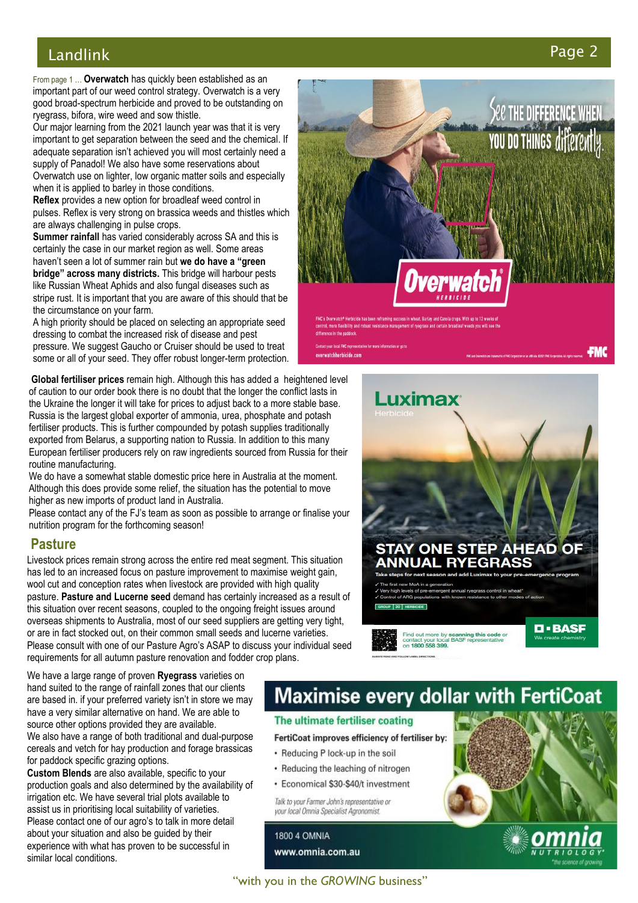### Landlink Pa

From page 1 ... **Overwatch** has quickly been established as an important part of our weed control strategy. Overwatch is a very good broad -spectrum herbicide and proved to be outstanding on ryegrass, bifora, wire weed and sow thistle.

Our major learning from the 2021 launch year was that it is very important to get separation between the seed and the chemical. If adequate separation isn't achieved you will most certainly need a supply of Panadol! We also have some reservations about Overwatch use on lighter, low organic matter soils and especially when it is applied to barley in those conditions.

**Reflex** provides a new option for broadleaf weed control in pulses. Reflex is very strong on brassica weeds and thistles which are always challenging in pulse crops.

naven ciseen a locor summer rain buc**ive do nave a green**<br>**bridge" across many districts.** This bridge will harbour pests **Summer rainfall** has varied considerably across SA and this is certainly the case in our market region as well. Some areas haven't seen a lot of summer rain but **we do have a "green**  like Russian Wheat Aphids and also fungal diseases such as stripe rust. It is important that you are aware of this should that be the circumstance on your farm.

A high priority should be placed on selecting an appropriate seed dressing to combat the increased risk of disease and pest pressure. We suggest Gaucho or Cruiser should be used to treat some or all of your seed. They offer robust longer -term protection.

Global fertiliser prices remain high. Although this has added a heightened level of caution to our order book there is no doubt that the longer the conflict lasts in the Ukraine the longer it will take for prices to adjust back to a more stable base. Russia is the largest global exporter of ammonia, urea, phosphate and potash fertiliser products. This is further compounded by potash supplies traditionally exported from Belarus, a supporting nation to Russia. In addition to this many European fertiliser producers rely on raw ingredients sourced from Russia for their routine manufacturing.

We do have a somewhat stable domestic price here in Australia at the moment. Although this does provide some relief, the situation has the potential to move higher as new imports of product land in Australia.

Please contact any of the FJ's team as soon as possible to arrange or finalise your nutrition program for the forthcoming season!

### **Pasture**

Livestock prices remain strong across the entire red meat segment. This situation has led to an increased focus on pasture improvement to maximise weight gain. wool cut and conception rates when livestock are provided with high quality pasture. **Pasture and Lucerne seed** demand has certainly increased as a result of this situation over recent seasons, coupled to the ongoing freight issues around overseas shipments to Australia, most of our seed suppliers are getting very tight, or are in fact stocked out, on their common small seeds and lucerne varieties. Please consult with one of our Pasture Agro's ASAP to discuss your individual seed requirements for all autumn pasture renovation and fodder crop plans.

We have a large range of proven **Ryegrass** varieties on

hand suited to the range of rainfall zones that our clients are based in. if your preferred variety isn't in store we may have a very similar alternative on hand. We are able to source other options provided they are available. We also have a range of both traditional and dual -purpose cereals and vetch for hay production and forage brassicas for paddock specific grazing options.

**Custom Blends** are also available, specific to your production goals and also determined by the availability of irrigation etc. We have several trial plots available to assist us in prioritising local suitability of varieties. Please contact one of our agro's to talk in more detail about your situation and also be guided by their experience with what has proven to be successful in similar local conditions.

# **Maximise every dollar with FertiCoat**

### The ultimate fertiliser coating

FertiCoat improves efficiency of fertiliser by:

- Reducing P lock-up in the soil
- Reducing the leaching of nitrogen
- · Economical \$30-\$40/t investment

Talk to your Farmer John's representative or vour local Omnia Specialist Agronomist

**1800 4 OMNIA** www.omnia.com.au



verwatchherbicide.com







### ge 2

**FMC** 

**See the difference when.** 

YOU DO THINGS differently.

"with you in the *GROWING* business"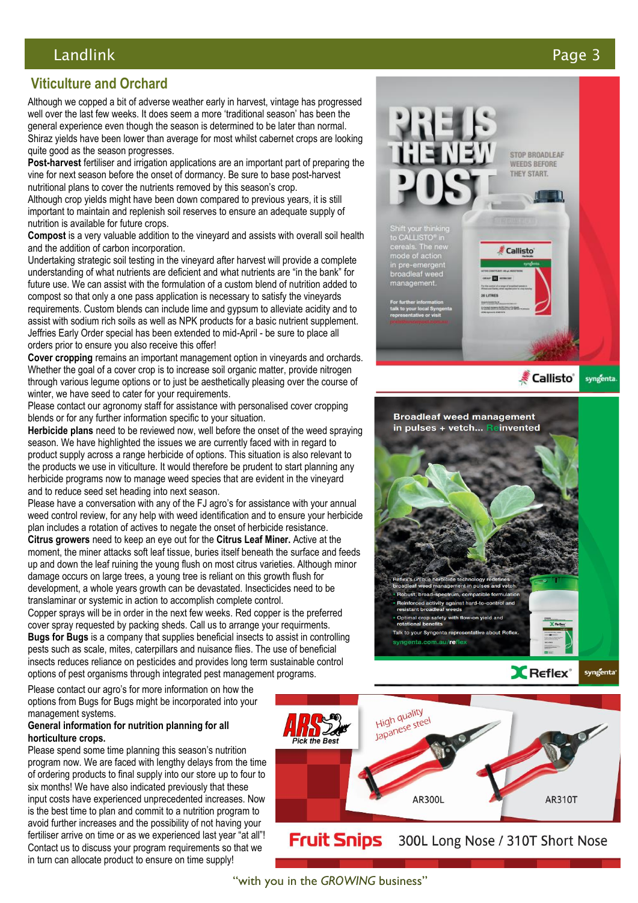### Landlink Page

### **Viticulture and Orchard**

Although we copped a bit of adverse weather early in harvest, vintage has progressed well over the last few weeks. It does seem a more 'traditional season' has been the general experience even though the season is determined to be later than normal. Shiraz yields have been lower than average for most whilst cabernet crops are looking quite good as the season progresses.

**Post -harvest** fertiliser and irrigation applications are an important part of preparing the vine for next season before the onset of dormancy. Be sure to base post -harvest nutritional plans to cover the nutrients removed by this season's crop.

Although crop yields might have been down compared to previous years, it is still important to maintain and replenish soil reserves to ensure an adequate supply of nutrition is available for future crops.

Compost is a very valuable addition to the vineyard and assists with overall soil health and the addition of carbon incorporation.

Undertaking strategic soil testing in the vineyard after harvest will provide a complete understanding of what nutrients are deficient and what nutrients are "in the bank" for future use. We can assist with the formulation of a custom blend of nutrition added to compost so that only a one pass application is necessary to satisfy the vineyards requirements. Custom blends can include lime and gypsum to alleviate acidity and to assist with sodium rich soils as well as NPK products for a basic nutrient supplement. Jeffries Early Order special has been extended to mid -April - be sure to place all orders prior to ensure you also receive this offer!

**Cover cropping** remains an important management option in vineyards and orchards. Whether the goal of a cover crop is to increase soil organic matter, provide nitrogen through various legume options or to just be aesthetically pleasing over the course of winter, we have seed to cater for your requirements.

Please contact our agronomy staff for assistance with personalised cover cropping blends or for any further information specific to your situation.

**Herbicide plans** need to be reviewed now, well before the onset of the weed spraying season. We have highlighted the issues we are currently faced with in regard to product supply across a range herbicide of options. This situation is also relevant to the products we use in viticulture. It would therefore be prudent to start planning any herbicide programs now to manage weed species that are evident in the vineyard and to reduce seed set heading into next season.

Please have a conversation with any of the FJ agro's for assistance with your annual weed control review, for any help with weed identification and to ensure your herbicide plan includes a rotation of actives to negate the onset of herbicide resistance. **Citrus growers** need to keep an eye out for the **Citrus Leaf Miner.** Active at the moment, the miner attacks soft leaf tissue, buries itself beneath the surface and feeds up and down the leaf ruining the young flush on most citrus varieties. Although minor damage occurs on large trees, a young tree is reliant on this growth flush for development, a whole years growth can be devastated. Insecticides need to be translaminar or systemic in action to accomplish complete control.

Copper sprays will be in order in the next few weeks. Red copper is the preferred cover spray requested by packing sheds. Call us to arrange your requirments. **Bugs for Bugs** is a company that supplies beneficial insects to assist in controlling pests such as scale, mites, caterpillars and nuisance flies. The use of beneficial insects reduces reliance on pesticides and provides long term sustainable control options of pest organisms through integrated pest management programs.





Please contact our agro's for more information on how the options from Bugs for Bugs might be incorporated into your management systems.

#### **General information for nutrition planning for all horticulture crops.**

Please spend some time planning this season's nutrition program now. We are faced with lengthy delays from the time of ordering products to final supply into our store up to four to six months! We have also indicated previously that these input costs have experienced unprecedented increases. Now is the best time to plan and commit to a nutrition program to avoid further increases and the possibility of not having your fertiliser arrive on time or as we experienced last year "at all"! Contact us to discuss your program requirements so that we in turn can allocate product to ensure on time supply!



"with you in the *GROWING* business"